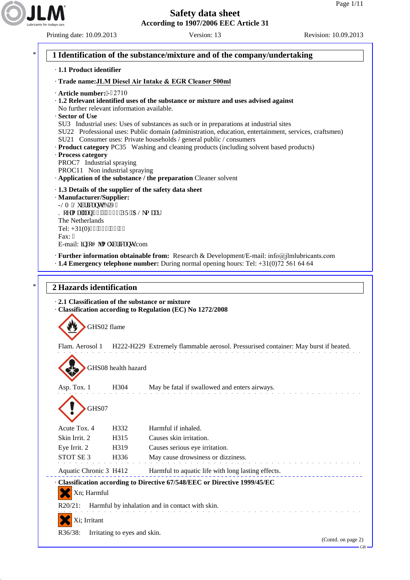Printing date: 10.09.2013 Version: 13 Revision: 10.09.2013



\* **1 Identification of the substance/mixture and of the company/undertaking** · **1.1 Product identifier** · **Trade name:JLM Diesel Air Intake & EGR Cleaner 500ml** · **Article number:**' $122710$ · **1.2 Relevant identified uses of the substance or mixture and uses advised against** No further relevant information available. · **Sector of Use** SU3 Industrial uses: Uses of substances as such or in preparations at industrial sites SU22 Professional uses: Public domain (administration, education, entertainment, services, craftsmen) SU21 Consumer uses: Private households / general public / consumers · **Product category** PC35 Washing and cleaning products (including solvent based products) · **Process category** PROC7 Industrial spraying PROC11 Non industrial spraying · **Application of the substance / the preparation** Cleaner solvent · **1.3 Details of the supplier of the safety data sheet** · **Manufacturer/Supplier:** INO 'Nwdtlecpw'DOX0 Mqgm cncp'93'/''3: 34'RT'''CNm cct The Netherlands Tel: +31(0)94'783'86'86 Fax: / E-mail: kphqB lm nwdtkecpvu.com · **Further information obtainable from:** Research & Development/E-mail: info@jlmlubricants.com · **1.4 Emergency telephone number:** During normal opening hours: Tel: +31(0)72 561 64 64 \* **2 Hazards identification** · **2.1 Classification of the substance or mixture** · **Classification according to Regulation (EC) No 1272/2008** GHS02 flame Flam. Aerosol 1 H222-H229 Extremely flammable aerosol. Pressurised container: May burst if heated. GHS08 health hazard Asp. Tox. 1 H304 May be fatal if swallowed and enters airways. GHS07 Acute Tox. 4 H332 Harmful if inhaled. Skin Irrit. 2 H315 Causes skin irritation. Eye Irrit. 2 H319 Causes serious eye irritation. STOT SE 3 H336 May cause drowsiness or dizziness. Aquatic Chronic 3 H412 Harmful to aquatic life with long lasting effects. · **Classification according to Directive 67/548/EEC or Directive 1999/45/EC** Xn; Harmful R20/21: Harmful by inhalation and in contact with skin.

Xi; Irritant

R36/38: Irritating to eyes and skin.

(Contd. on page 2)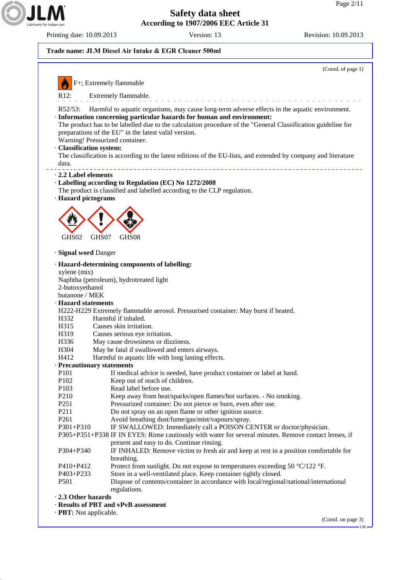



· **PBT:** Not applicable.

(Contd. on page 3) GB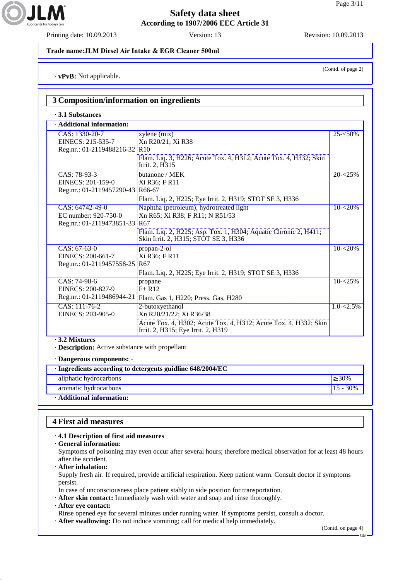JLA

### **Safety data sheet According to 1907/2006 EEC Article 31**

Printing date: 10.09.2013 Version: 13 Revision: 10.09.2013

#### **Trade name:JLM Diesel Air Intake & EGR Cleaner 500ml**

· **vPvB:** Not applicable.

| 3 Composition/information on ingredients                                     |                                                                                                                                                                                                          |               |
|------------------------------------------------------------------------------|----------------------------------------------------------------------------------------------------------------------------------------------------------------------------------------------------------|---------------|
| $\cdot$ 3.1 Substances                                                       |                                                                                                                                                                                                          |               |
| · Additional information:                                                    |                                                                                                                                                                                                          |               |
| CAS: 1330-20-7<br>EINECS: 215-535-7<br>Reg.nr.: 01-2119488216-32             | xylene (mix)<br>Xn R20/21; Xi R38<br>R10<br>Flam. Liq. 3, H226; Acute Tox. 4, H312; Acute Tox. 4, H332; Skin<br>Irrit. 2, H315                                                                           | $25 - 50\%$   |
| $\overline{CAS}$ : 78-93-3<br>EINECS: 201-159-0<br>Reg.nr.: 01-2119457290-43 | butanone / MEK<br>Xi R36; F R11<br>R66-67<br>Flam. Liq. 2, H225; Eye Irrit. 2, H319; STOT SE 3, H336                                                                                                     | $20 - 25%$    |
| CAS: 64742-49-0<br>EC number: 920-750-0<br>Reg.nr.: 01-2119473851-33         | Naphtha (petroleum), hydrotreated light<br>Xn R65; Xi R38; F R11; N R51/53<br>R <sub>67</sub><br>Flam. Liq. 2, H225; Asp. Tox. 1, H304; Aquatic Chronic 2, H411;<br>Skin Irrit. 2, H315; STOT SE 3, H336 | $10 - 20%$    |
| CAS: 67-63-0<br>EINECS: 200-661-7<br>Reg.nr.: 01-2119457558-25               | propan-2-ol<br>Xi R36; F R11<br>R <sub>67</sub><br>Flam. Liq. 2, H225; Eye Irrit. 2, H319; STOT SE 3, H336                                                                                               | $10 - 20%$    |
| CAS: 74-98-6<br>EINECS: 200-827-9<br>Reg.nr.: 01-2119486944-21               | propane<br>$F+R12$<br>Flam. Gas 1, H220; Press. Gas, H280                                                                                                                                                | $10 - 25\%$   |
| CAS: 111-76-2<br>EINECS: 203-905-0                                           | 2-butoxyethanol<br>Xn R20/21/22; Xi R36/38<br>Acute Tox. 4, H302; Acute Tox. 4, H312; Acute Tox. 4, H332; Skin<br>Irrit. 2, H315; Eye Irrit. 2, H319                                                     | $1.0 - 2.5\%$ |

· **3.2 Mixtures**

· **Description:** Active substance with propellant

· **Dangerous components:** -

| · Ingredients according to detergents guidline 648/2004/EC |             |
|------------------------------------------------------------|-------------|
| aliphatic hydrocarbons                                     | $> 30\%$    |
| aromatic hydrocarbons                                      | $15 - 30\%$ |
| $\cdot$ Additional information:                            |             |

### **4 First aid measures**

#### · **4.1 Description of first aid measures**

· **General information:**

Symptoms of poisoning may even occur after several hours; therefore medical observation for at least 48 hours after the accident.

· **After inhalation:**

Supply fresh air. If required, provide artificial respiration. Keep patient warm. Consult doctor if symptoms persist.

In case of unconsciousness place patient stably in side position for transportation.

- · **After skin contact:** Immediately wash with water and soap and rinse thoroughly.
- · **After eye contact:**

Rinse opened eye for several minutes under running water. If symptoms persist, consult a doctor.

· **After swallowing:** Do not induce vomiting; call for medical help immediately.

(Contd. on page 4)

(Contd. of page 2)

GB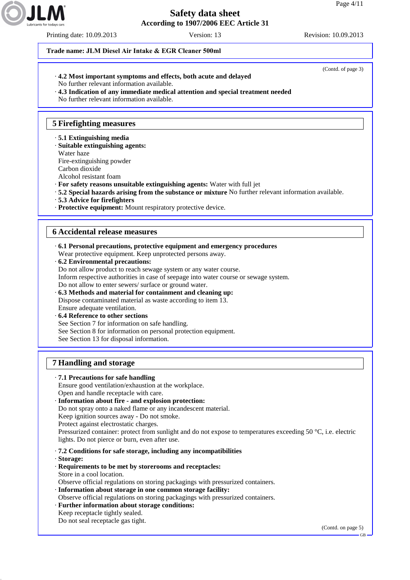Printing date: 10.09.2013 Version: 13 Revision: 10.09.2013

#### **Trade name: JLM Diesel Air Intake & EGR Cleaner 500ml**

- · **4.2 Most important symptoms and effects, both acute and delayed**
- No further relevant information available.
- · **4.3 Indication of any immediate medical attention and special treatment needed**

No further relevant information available.

## **5 Firefighting measures**

- · **5.1 Extinguishing media**
- · **Suitable extinguishing agents:**
- Water haze

Fire-extinguishing powder

Carbon dioxide

Alcohol resistant foam

- · **For safety reasons unsuitable extinguishing agents:** Water with full jet
- · **5.2 Special hazards arising from the substance or mixture** No further relevant information available.
- · **5.3 Advice for firefighters**
- · **Protective equipment:** Mount respiratory protective device.

### **6 Accidental release measures**

- · **6.1 Personal precautions, protective equipment and emergency procedures** Wear protective equipment. Keep unprotected persons away.
- · **6.2 Environmental precautions:**
- Do not allow product to reach sewage system or any water course.
- Inform respective authorities in case of seepage into water course or sewage system.
- Do not allow to enter sewers/ surface or ground water.
- · **6.3 Methods and material for containment and cleaning up:** Dispose contaminated material as waste according to item 13. Ensure adequate ventilation.
- · **6.4 Reference to other sections**
- See Section 7 for information on safe handling.
- See Section 8 for information on personal protection equipment.
- See Section 13 for disposal information.

## **7 Handling and storage**

- · **7.1 Precautions for safe handling** Ensure good ventilation/exhaustion at the workplace. Open and handle receptacle with care. · **Information about fire - and explosion protection:** Do not spray onto a naked flame or any incandescent material. Keep ignition sources away - Do not smoke. Protect against electrostatic charges. Pressurized container: protect from sunlight and do not expose to temperatures exceeding 50 °C, i.e. electric lights. Do not pierce or burn, even after use. · **7.2 Conditions for safe storage, including any incompatibilities** · **Storage:** · **Requirements to be met by storerooms and receptacles:** Store in a cool location. Observe official regulations on storing packagings with pressurized containers. · **Information about storage in one common storage facility:** Observe official regulations on storing packagings with pressurized containers. · **Further information about storage conditions:**
- Keep receptacle tightly sealed. Do not seal receptacle gas tight.

(Contd. on page 5)

(Contd. of page 3)

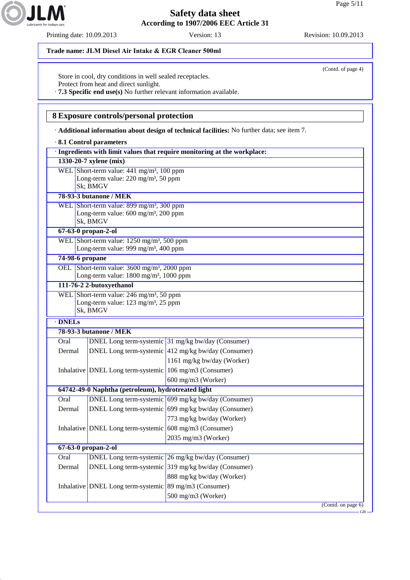Printing date: 10.09.2013 Version: 13 Revision: 10.09.2013



Store in cool, dry conditions in well sealed receptacles. Protect from heat and direct sunlight.

· **7.3 Specific end use(s)** No further relevant information available.

### **8 Exposure controls/personal protection**

· **Additional information about design of technical facilities:** No further data; see item 7.

|                 | 8.1 Control parameters                                                                                     |                                                                           |
|-----------------|------------------------------------------------------------------------------------------------------------|---------------------------------------------------------------------------|
|                 |                                                                                                            | · Ingredients with limit values that require monitoring at the workplace: |
|                 | 1330-20-7 xylene (mix)                                                                                     |                                                                           |
|                 | WEL Short-term value: 441 mg/m <sup>3</sup> , 100 ppm                                                      |                                                                           |
|                 | Long-term value: 220 mg/m <sup>3</sup> , 50 ppm<br>Sk; BMGV                                                |                                                                           |
|                 | 78-93-3 butanone / MEK                                                                                     |                                                                           |
|                 | WEL Short-term value: 899 mg/m <sup>3</sup> , 300 ppm                                                      |                                                                           |
|                 | Long-term value: 600 mg/m <sup>3</sup> , 200 ppm                                                           |                                                                           |
|                 | Sk, BMGV                                                                                                   |                                                                           |
|                 | 67-63-0 propan-2-ol                                                                                        |                                                                           |
|                 | WEL Short-term value: 1250 mg/m <sup>3</sup> , 500 ppm<br>Long-term value: 999 mg/m <sup>3</sup> , 400 ppm |                                                                           |
| 74-98-6 propane |                                                                                                            |                                                                           |
|                 | OEL Short-term value: 3600 mg/m <sup>3</sup> , 2000 ppm                                                    |                                                                           |
|                 | Long-term value: 1800 mg/m <sup>3</sup> , 1000 ppm                                                         |                                                                           |
|                 | 111-76-2 2-butoxyethanol                                                                                   |                                                                           |
|                 | WEL Short-term value: 246 mg/m <sup>3</sup> , 50 ppm                                                       |                                                                           |
|                 | Long-term value: 123 mg/m <sup>3</sup> , 25 ppm                                                            |                                                                           |
|                 | Sk, BMGV                                                                                                   |                                                                           |
| $\cdot$ DNELs   |                                                                                                            |                                                                           |
|                 | 78-93-3 butanone / MEK                                                                                     |                                                                           |
| Oral            |                                                                                                            | DNEL Long term-systemic 31 mg/kg bw/day (Consumer)                        |
| Dermal          |                                                                                                            | DNEL Long term-systemic 412 mg/kg bw/day (Consumer)                       |
|                 |                                                                                                            | 1161 mg/kg bw/day (Worker)                                                |
|                 | Inhalative DNEL Long term-systemic 106 mg/m3 (Consumer)                                                    |                                                                           |
|                 | 64742-49-0 Naphtha (petroleum), hydrotreated light                                                         | 600 mg/m3 (Worker)                                                        |
| Oral            |                                                                                                            | DNEL Long term-systemic 699 mg/kg bw/day (Consumer)                       |
| Dermal          |                                                                                                            | DNEL Long term-systemic 699 mg/kg bw/day (Consumer)                       |
|                 |                                                                                                            | 773 mg/kg bw/day (Worker)                                                 |
|                 | Inhalative DNEL Long term-systemic $608 \text{ mg/m}$ 3 (Consumer)                                         |                                                                           |
|                 |                                                                                                            | 2035 mg/m3 (Worker)                                                       |
|                 | 67-63-0 propan-2-ol                                                                                        |                                                                           |
| Oral            |                                                                                                            | DNEL Long term-systemic 26 mg/kg bw/day (Consumer)                        |
| Dermal          |                                                                                                            | DNEL Long term-systemic 319 mg/kg bw/day (Consumer)                       |
|                 |                                                                                                            | 888 mg/kg bw/day (Worker)                                                 |
|                 | Inhalative DNEL Long term-systemic 89 mg/m3 (Consumer)                                                     |                                                                           |
|                 |                                                                                                            | 500 mg/m3 (Worker)                                                        |
|                 |                                                                                                            | (Cond. on page 6)                                                         |
|                 |                                                                                                            | <b>GB</b>                                                                 |



(Contd. of page 4)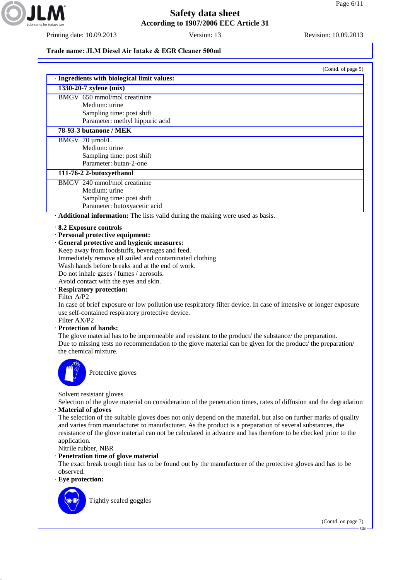

Printing date: 10.09.2013 Version: 13 Revision: 10.09.2013

### **Trade name: JLM Diesel Air Intake & EGR Cleaner 500ml**

|                             | (Contd. of page 5)                                                                                                                                                                                                                                                                                                                                                                                                                                                                                                                                                  |
|-----------------------------|---------------------------------------------------------------------------------------------------------------------------------------------------------------------------------------------------------------------------------------------------------------------------------------------------------------------------------------------------------------------------------------------------------------------------------------------------------------------------------------------------------------------------------------------------------------------|
|                             | · Ingredients with biological limit values:<br>1330-20-7 xylene (mix)                                                                                                                                                                                                                                                                                                                                                                                                                                                                                               |
|                             | BMGV 650 mmol/mol creatinine                                                                                                                                                                                                                                                                                                                                                                                                                                                                                                                                        |
|                             | Medium: urine                                                                                                                                                                                                                                                                                                                                                                                                                                                                                                                                                       |
|                             | Sampling time: post shift                                                                                                                                                                                                                                                                                                                                                                                                                                                                                                                                           |
|                             | Parameter: methyl hippuric acid                                                                                                                                                                                                                                                                                                                                                                                                                                                                                                                                     |
|                             | 78-93-3 butanone / MEK                                                                                                                                                                                                                                                                                                                                                                                                                                                                                                                                              |
|                             | $BMGV$ 70 µmol/L                                                                                                                                                                                                                                                                                                                                                                                                                                                                                                                                                    |
|                             | Medium: urine                                                                                                                                                                                                                                                                                                                                                                                                                                                                                                                                                       |
|                             | Sampling time: post shift                                                                                                                                                                                                                                                                                                                                                                                                                                                                                                                                           |
|                             | Parameter: butan-2-one                                                                                                                                                                                                                                                                                                                                                                                                                                                                                                                                              |
|                             | 111-76-2 2-butoxyethanol                                                                                                                                                                                                                                                                                                                                                                                                                                                                                                                                            |
|                             | BMGV 240 mmol/mol creatinine                                                                                                                                                                                                                                                                                                                                                                                                                                                                                                                                        |
|                             | Medium: urine                                                                                                                                                                                                                                                                                                                                                                                                                                                                                                                                                       |
|                             | Sampling time: post shift                                                                                                                                                                                                                                                                                                                                                                                                                                                                                                                                           |
|                             | Parameter: butoxyacetic acid                                                                                                                                                                                                                                                                                                                                                                                                                                                                                                                                        |
|                             | · Additional information: The lists valid during the making were used as basis.                                                                                                                                                                                                                                                                                                                                                                                                                                                                                     |
| Filter A/P2<br>Filter AX/P2 | Do not inhale gases / fumes / aerosols.<br>Avoid contact with the eyes and skin.<br>· Respiratory protection:<br>In case of brief exposure or low pollution use respiratory filter device. In case of intensive or longer exposure<br>use self-contained respiratory protective device.<br>· Protection of hands:<br>The glove material has to be impermeable and resistant to the product/ the substance/ the preparation.<br>Due to missing tests no recommendation to the glove material can be given for the product/ the preparation/<br>the chemical mixture. |
| $m_{\!p}$<br>uk             | Protective gloves                                                                                                                                                                                                                                                                                                                                                                                                                                                                                                                                                   |
|                             | Solvent resistant gloves<br>Selection of the glove material on consideration of the penetration times, rates of diffusion and the degradation<br>· Material of gloves                                                                                                                                                                                                                                                                                                                                                                                               |
| application.                | The selection of the suitable gloves does not only depend on the material, but also on further marks of quality<br>and varies from manufacturer to manufacturer. As the product is a preparation of several substances, the<br>resistance of the glove material can not be calculated in advance and has therefore to be checked prior to the<br>Nitrile rubber, NBR                                                                                                                                                                                                |

· **Penetration time of glove material**

The exact break trough time has to be found out by the manufacturer of the protective gloves and has to be observed.

· **Eye protection:**



Tightly sealed goggles

(Contd. on page 7)

GB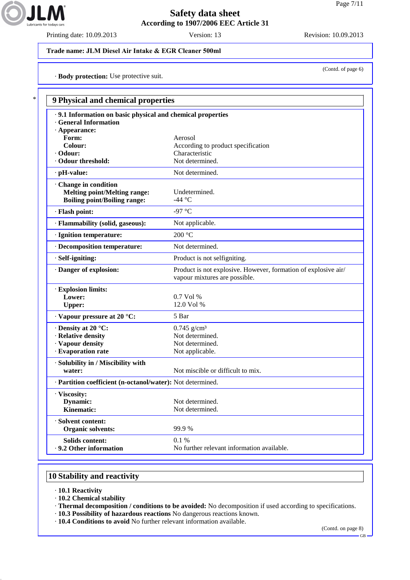

Printing date: 10.09.2013 Version: 13 Revision: 10.09.2013

(Contd. of page 6)

#### **Trade name: JLM Diesel Air Intake & EGR Cleaner 500ml**

· **Body protection:** Use protective suit.

| · 9.1 Information on basic physical and chemical properties |                                                                                                 |
|-------------------------------------------------------------|-------------------------------------------------------------------------------------------------|
| <b>General Information</b>                                  |                                                                                                 |
| $\cdot$ Appearance:                                         |                                                                                                 |
| Form:                                                       | Aerosol                                                                                         |
| Colour:                                                     | According to product specification                                                              |
| $\cdot$ Odour:                                              | Characteristic                                                                                  |
| · Odour threshold:                                          | Not determined.                                                                                 |
| $\cdot$ pH-value:                                           | Not determined.                                                                                 |
| Change in condition                                         |                                                                                                 |
| <b>Melting point/Melting range:</b>                         | Undetermined.                                                                                   |
| <b>Boiling point/Boiling range:</b>                         | -44 °C                                                                                          |
| · Flash point:                                              | -97 °C                                                                                          |
| · Flammability (solid, gaseous):                            | Not applicable.                                                                                 |
| · Ignition temperature:                                     | 200 °C                                                                                          |
| · Decomposition temperature:                                | Not determined.                                                                                 |
| · Self-igniting:                                            | Product is not selfigniting.                                                                    |
| · Danger of explosion:                                      | Product is not explosive. However, formation of explosive air/<br>vapour mixtures are possible. |
| · Explosion limits:                                         |                                                                                                 |
| Lower:                                                      | $0.7$ Vol %                                                                                     |
| <b>Upper:</b>                                               | 12.0 Vol %                                                                                      |
| · Vapour pressure at 20 °C:                                 | 5 Bar                                                                                           |
| $\cdot$ Density at 20 °C:                                   | $0.745$ g/cm <sup>3</sup>                                                                       |
| · Relative density                                          | Not determined.                                                                                 |
| · Vapour density                                            | Not determined.                                                                                 |
| · Evaporation rate                                          | Not applicable.                                                                                 |
| · Solubility in / Miscibility with                          |                                                                                                 |
| water:                                                      | Not miscible or difficult to mix.                                                               |
| · Partition coefficient (n-octanol/water): Not determined.  |                                                                                                 |
| · Viscosity:                                                |                                                                                                 |
| <b>Dynamic:</b>                                             | Not determined.                                                                                 |
| Kinematic:                                                  | Not determined.                                                                                 |
| · Solvent content:                                          |                                                                                                 |
| <b>Organic solvents:</b>                                    | 99.9%                                                                                           |
| Solids content:                                             | 0.1 %                                                                                           |
| . 9.2 Other information                                     | No further relevant information available.                                                      |

### **10 Stability and reactivity**

- · **10.1 Reactivity**
- · **10.2 Chemical stability**
- · **Thermal decomposition / conditions to be avoided:** No decomposition if used according to specifications.
- · **10.3 Possibility of hazardous reactions** No dangerous reactions known.
- · **10.4 Conditions to avoid** No further relevant information available.

(Contd. on page 8)

GB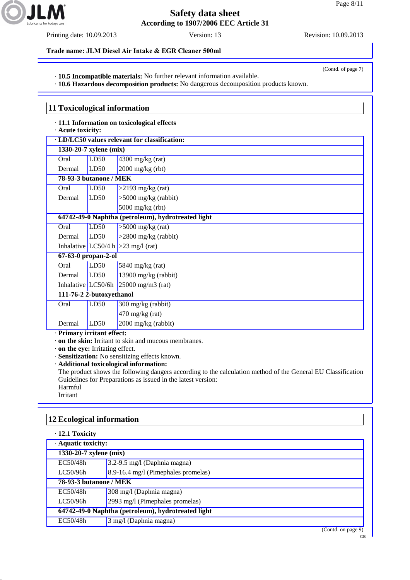

Printing date: 10.09.2013 Version: 13 Revision: 10.09.2013

(Contd. of page 7)

**Trade name: JLM Diesel Air Intake & EGR Cleaner 500ml**

· **10.5 Incompatible materials:** No further relevant information available.

· **10.6 Hazardous decomposition products:** No dangerous decomposition products known.

**11 Toxicological information** · **11.1 Information on toxicological effects** · **Acute toxicity:** · **LD/LC50 values relevant for classification: 1330-20-7 xylene (mix)** Oral LD50 4300 mg/kg (rat) Dermal LD50 2000 mg/kg (rbt) **78-93-3 butanone / MEK** Oral LD50 >2193 mg/kg (rat) Dermal LD50 >5000 mg/kg (rabbit) 5000 mg/kg (rbt) **64742-49-0 Naphtha (petroleum), hydrotreated light** Oral  $LD50$   $>5000$  mg/kg (rat) Dermal LD50 >2800 mg/kg (rabbit) Inhalative  $|LC50/4 h| > 23$  mg/l (rat) **67-63-0 propan-2-ol** Oral LD50 5840 mg/kg (rat) Dermal LD50 13900 mg/kg (rabbit) Inhalative LC50/6h  $25000$  mg/m3 (rat) **111-76-2 2-butoxyethanol** Oral LD50 300 mg/kg (rabbit) 470 mg/kg (rat) Dermal LD50 2000 mg/kg (rabbit) · **Primary irritant effect:**

· **on the skin:** Irritant to skin and mucous membranes.

· **on the eye:** Irritating effect.

· **Sensitization:** No sensitizing effects known.

· **Additional toxicological information:**

The product shows the following dangers according to the calculation method of the General EU Classification Guidelines for Preparations as issued in the latest version: Harmful

Irritant

# **12 Ecological information** · **12.1 Toxicity** · **Aquatic toxicity: 1330-20-7 xylene (mix)** EC50/48h 3.2-9.5 mg/l (Daphnia magna) LC50/96h  $\qquad$  8.9-16.4 mg/l (Pimephales promelas) **78-93-3 butanone / MEK** EC50/48h 308 mg/l (Daphnia magna) LC50/96h 2993 mg/l (Pimephales promelas) **64742-49-0 Naphtha (petroleum), hydrotreated light** EC50/48h 3 mg/l (Daphnia magna) (Contd. on page 9)

GB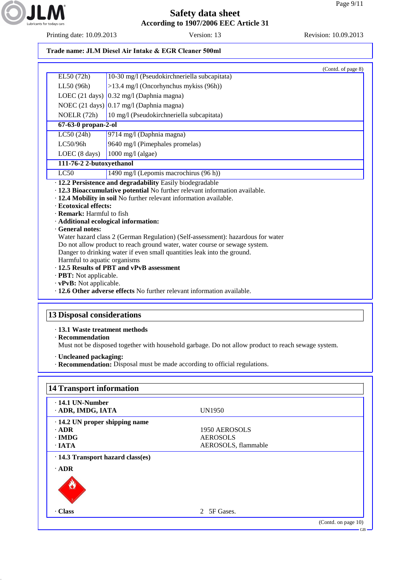

Printing date: 10.09.2013 Version: 13 Revision: 10.09.2013

### **Trade name: JLM Diesel Air Intake & EGR Cleaner 500ml**

|                                                                | (Contd. of page 8)                                                                                                                                                                                             |  |
|----------------------------------------------------------------|----------------------------------------------------------------------------------------------------------------------------------------------------------------------------------------------------------------|--|
| EL50 (72h)                                                     | 10-30 mg/l (Pseudokirchneriella subcapitata)                                                                                                                                                                   |  |
| LL50 (96h)                                                     | >13.4 mg/l (Oncorhynchus mykiss (96h))                                                                                                                                                                         |  |
|                                                                | LOEC (21 days) $0.32 \text{ mg/l}$ (Daphnia magna)                                                                                                                                                             |  |
|                                                                | NOEC $(21 \text{ days})$ 0.17 mg/l (Daphnia magna)                                                                                                                                                             |  |
| NOELR (72h)                                                    | 10 mg/l (Pseudokirchneriella subcapitata)                                                                                                                                                                      |  |
| 67-63-0 propan-2-ol                                            |                                                                                                                                                                                                                |  |
| LC50(24h)                                                      | 9714 mg/l (Daphnia magna)                                                                                                                                                                                      |  |
| LC50/96h                                                       | 9640 mg/l (Pimephales promelas)                                                                                                                                                                                |  |
| LOEC (8 days)                                                  | $1000$ mg/l (algae)                                                                                                                                                                                            |  |
| 111-76-2 2-butoxyethanol                                       |                                                                                                                                                                                                                |  |
| LC50                                                           | 1490 mg/l (Lepomis macrochirus (96 h))                                                                                                                                                                         |  |
| · Ecotoxical effects:<br>· Remark: Harmful to fish             | · 12.2 Persistence and degradability Easily biodegradable<br>· 12.3 Bioaccumulative potential No further relevant information available.<br>· 12.4 Mobility in soil No further relevant information available. |  |
|                                                                |                                                                                                                                                                                                                |  |
| General notes:                                                 | · Additional ecological information:                                                                                                                                                                           |  |
|                                                                | Water hazard class 2 (German Regulation) (Self-assessment): hazardous for water                                                                                                                                |  |
|                                                                | Do not allow product to reach ground water, water course or sewage system.                                                                                                                                     |  |
|                                                                | Danger to drinking water if even small quantities leak into the ground.                                                                                                                                        |  |
| Harmful to aquatic organisms                                   |                                                                                                                                                                                                                |  |
|                                                                | .12.5 Results of PBT and vPvB assessment                                                                                                                                                                       |  |
| · <b>PBT:</b> Not applicable.<br>$\cdot$ vPvB: Not applicable. |                                                                                                                                                                                                                |  |

# **13 Disposal considerations**

· **13.1 Waste treatment methods**

· **Recommendation**

Must not be disposed together with household garbage. Do not allow product to reach sewage system.

- · **Uncleaned packaging:**
- · **Recommendation:** Disposal must be made according to official regulations.

| $\cdot$ 14.1 UN-Number               |                     |  |
|--------------------------------------|---------------------|--|
| ADR, IMDG, IATA                      | UN1950              |  |
| $\cdot$ 14.2 UN proper shipping name |                     |  |
| $\cdot$ ADR                          | 1950 AEROSOLS       |  |
| $\cdot$ IMDG                         | <b>AEROSOLS</b>     |  |
| $\cdot$ IATA                         | AEROSOLS, flammable |  |
| $\cdot$ ADR                          |                     |  |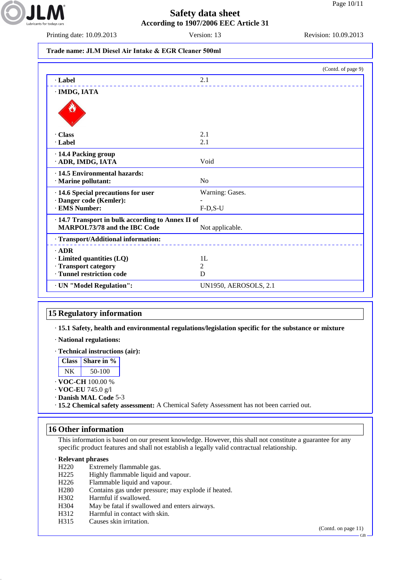

Printing date: 10.09.2013 Version: 13 Revision: 10.09.2013

### **Trade name: JLM Diesel Air Intake & EGR Cleaner 500ml**

|                                                      | (Contd. of page 9)           |
|------------------------------------------------------|------------------------------|
| · Label                                              | 2.1                          |
| · IMDG, IATA                                         |                              |
|                                                      |                              |
| <b>Class</b>                                         | 2.1                          |
| · Label                                              | 2.1                          |
| · 14.4 Packing group<br>ADR, IMDG, IATA              | Void                         |
| · 14.5 Environmental hazards:<br>· Marine pollutant: | No                           |
| · 14.6 Special precautions for user                  | Warning: Gases.              |
| · Danger code (Kemler):                              |                              |
| · EMS Number:                                        | $F-D,S-U$                    |
| · 14.7 Transport in bulk according to Annex II of    |                              |
| <b>MARPOL73/78 and the IBC Code</b>                  | Not applicable.              |
| · Transport/Additional information:                  |                              |
| $-$ ADR                                              |                              |
| $\cdot$ Limited quantities (LQ)                      | 1L                           |
| · Transport category                                 | 2                            |
| · Tunnel restriction code                            | D                            |
| · UN "Model Regulation":                             | <b>UN1950, AEROSOLS, 2.1</b> |

#### **15 Regulatory information**

· **15.1 Safety, health and environmental regulations/legislation specific for the substance or mixture**

- · **National regulations:**
- · **Technical instructions (air):**

| ass   Share in % |
|------------------|
| $50-100$         |

- · **VOC-CH** 100.00 %
- · **VOC-EU** 745.0 g/l
- · **Danish MAL Code** 5-3
- · **15.2 Chemical safety assessment:** A Chemical Safety Assessment has not been carried out.

#### **16 Other information**

This information is based on our present knowledge. However, this shall not constitute a guarantee for any specific product features and shall not establish a legally valid contractual relationship.

#### · **Relevant phrases**

- H220 Extremely flammable gas.
- H225 Highly flammable liquid and vapour.
- H226 Flammable liquid and vapour.
- H280 Contains gas under pressure; may explode if heated.
- H302 Harmful if swallowed.
- H304 May be fatal if swallowed and enters airways.
- H312 Harmful in contact with skin.
- H315 Causes skin irritation.

(Contd. on page 11)

GB